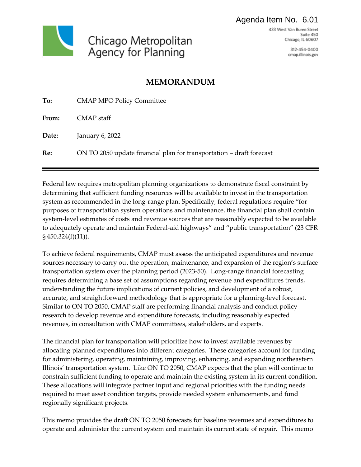#### Agenda Item No. 6.01



433 West Van Buren Street Suite 450 Chicago, IL 60607

> 312-454-0400 cmap.illinois.gov

## **MEMORANDUM**

| To:   | <b>CMAP MPO Policy Committee</b>                                     |
|-------|----------------------------------------------------------------------|
| From: | CMAP staff                                                           |
| Date: | January 6, 2022                                                      |
| Re:   | ON TO 2050 update financial plan for transportation – draft forecast |

Federal law requires metropolitan planning organizations to demonstrate fiscal constraint by determining that sufficient funding resources will be available to invest in the transportation system as recommended in the long-range plan. Specifically, federal regulations require "for purposes of transportation system operations and maintenance, the financial plan shall contain system-level estimates of costs and revenue sources that are reasonably expected to be available to adequately operate and maintain Federal-aid highways" and "public transportation" (23 CFR § 450.324(f)(11)).

To achieve federal requirements, CMAP must assess the anticipated expenditures and revenue sources necessary to carry out the operation, maintenance, and expansion of the region's surface transportation system over the planning period (2023-50). Long-range financial forecasting requires determining a base set of assumptions regarding revenue and expenditures trends, understanding the future implications of current policies, and development of a robust, accurate, and straightforward methodology that is appropriate for a planning-level forecast. Similar to ON TO 2050, CMAP staff are performing financial analysis and conduct policy research to develop revenue and expenditure forecasts, including reasonably expected revenues, in consultation with CMAP committees, stakeholders, and experts.

The financial plan for transportation will prioritize how to invest available revenues by allocating planned expenditures into different categories. These categories account for funding for administering, operating, maintaining, improving, enhancing, and expanding northeastern Illinois' transportation system. Like ON TO 2050, CMAP expects that the plan will continue to constrain sufficient funding to operate and maintain the existing system in its current condition. These allocations will integrate partner input and regional priorities with the funding needs required to meet asset condition targets, provide needed system enhancements, and fund regionally significant projects.

This memo provides the draft ON TO 2050 forecasts for baseline revenues and expenditures to operate and administer the current system and maintain its current state of repair. This memo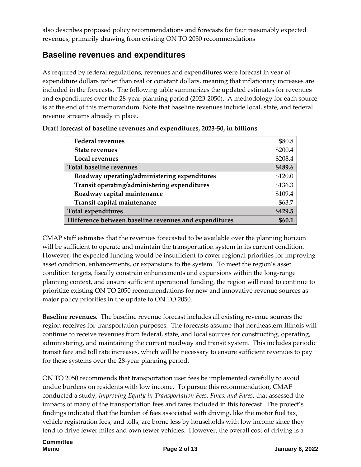also describes proposed policy recommendations and forecasts for four reasonably expected revenues, primarily drawing from existing ON TO 2050 recommendations

## **Baseline revenues and expenditures**

As required by federal regulations, revenues and expenditures were forecast in year of expenditure dollars rather than real or constant dollars, meaning that inflationary increases are included in the forecasts. The following table summarizes the updated estimates for revenues and expenditures over the 28-year planning period (2023-2050). A methodology for each source is at the end of this memorandum. Note that baseline revenues include local, state, and federal revenue streams already in place.

| <b>Federal revenues</b>                               | \$80.8  |
|-------------------------------------------------------|---------|
| <b>State revenues</b>                                 | \$200.4 |
| Local revenues                                        | \$208.4 |
| <b>Total baseline revenues</b>                        | \$489.6 |
| Roadway operating/administering expenditures          | \$120.0 |
| Transit operating/administering expenditures          | \$136.3 |
| Roadway capital maintenance                           | \$109.4 |
| Transit capital maintenance                           | \$63.7  |
| <b>Total expenditures</b>                             | \$429.5 |
| Difference between baseline revenues and expenditures |         |

| Draft forecast of baseline revenues and expenditures, 2023-50, in billions |  |
|----------------------------------------------------------------------------|--|
|----------------------------------------------------------------------------|--|

CMAP staff estimates that the revenues forecasted to be available over the planning horizon will be sufficient to operate and maintain the transportation system in its current condition. However, the expected funding would be insufficient to cover regional priorities for improving asset condition, enhancements, or expansions to the system. To meet the region's asset condition targets, fiscally constrain enhancements and expansions within the long-range planning context, and ensure sufficient operational funding, the region will need to continue to prioritize existing ON TO 2050 recommendations for new and innovative revenue sources as major policy priorities in the update to ON TO 2050.

**Baseline revenues.** The baseline revenue forecast includes all existing revenue sources the region receives for transportation purposes. The forecasts assume that northeastern Illinois will continue to receive revenues from federal, state, and local sources for constructing, operating, administering, and maintaining the current roadway and transit system. This includes periodic transit fare and toll rate increases, which will be necessary to ensure sufficient revenues to pay for these systems over the 28-year planning period.

ON TO 2050 recommends that transportation user fees be implemented carefully to avoid undue burdens on residents with low income. To pursue this recommendation, CMAP conducted a study, *Improving Equity in Transportation Fees, Fines, and Fares*, that assessed the impacts of many of the transportation fees and fares included in this forecast. The project's findings indicated that the burden of fees associated with driving, like the motor fuel tax, vehicle registration fees, and tolls, are borne less by households with low income since they tend to drive fewer miles and own fewer vehicles. However, the overall cost of driving is a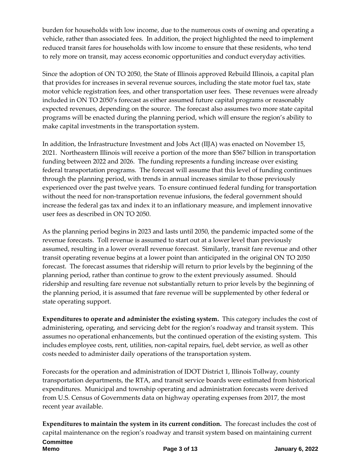burden for households with low income, due to the numerous costs of owning and operating a vehicle, rather than associated fees. In addition, the project highlighted the need to implement reduced transit fares for households with low income to ensure that these residents, who tend to rely more on transit, may access economic opportunities and conduct everyday activities.

Since the adoption of ON TO 2050, the State of Illinois approved Rebuild Illinois, a capital plan that provides for increases in several revenue sources, including the state motor fuel tax, state motor vehicle registration fees, and other transportation user fees. These revenues were already included in ON TO 2050's forecast as either assumed future capital programs or reasonably expected revenues, depending on the source. The forecast also assumes two more state capital programs will be enacted during the planning period, which will ensure the region's ability to make capital investments in the transportation system.

In addition, the Infrastructure Investment and Jobs Act (IIJA) was enacted on November 15, 2021. Northeastern Illinois will receive a portion of the more than \$567 billion in transportation funding between 2022 and 2026. The funding represents a funding increase over existing federal transportation programs. The forecast will assume that this level of funding continues through the planning period, with trends in annual increases similar to those previously experienced over the past twelve years. To ensure continued federal funding for transportation without the need for non-transportation revenue infusions, the federal government should increase the federal gas tax and index it to an inflationary measure, and implement innovative user fees as described in ON TO 2050.

As the planning period begins in 2023 and lasts until 2050, the pandemic impacted some of the revenue forecasts. Toll revenue is assumed to start out at a lower level than previously assumed, resulting in a lower overall revenue forecast. Similarly, transit fare revenue and other transit operating revenue begins at a lower point than anticipated in the original ON TO 2050 forecast. The forecast assumes that ridership will return to prior levels by the beginning of the planning period, rather than continue to grow to the extent previously assumed. Should ridership and resulting fare revenue not substantially return to prior levels by the beginning of the planning period, it is assumed that fare revenue will be supplemented by other federal or state operating support.

**Expenditures to operate and administer the existing system.** This category includes the cost of administering, operating, and servicing debt for the region's roadway and transit system. This assumes no operational enhancements, but the continued operation of the existing system. This includes employee costs, rent, utilities, non-capital repairs, fuel, debt service, as well as other costs needed to administer daily operations of the transportation system.

Forecasts for the operation and administration of IDOT District 1, Illinois Tollway, county transportation departments, the RTA, and transit service boards were estimated from historical expenditures. Municipal and township operating and administration forecasts were derived from U.S. Census of Governments data on highway operating expenses from 2017, the most recent year available.

**Expenditures to maintain the system in its current condition.** The forecast includes the cost of capital maintenance on the region's roadway and transit system based on maintaining current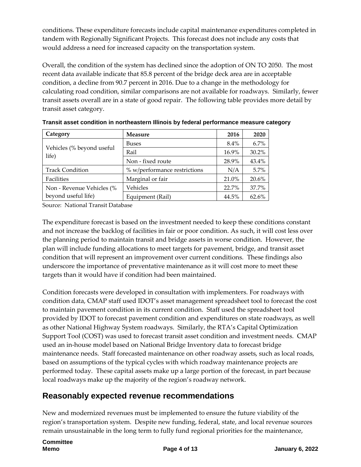conditions. These expenditure forecasts include capital maintenance expenditures completed in tandem with Regionally Significant Projects. This forecast does not include any costs that would address a need for increased capacity on the transportation system.

Overall, the condition of the system has declined since the adoption of ON TO 2050. The most recent data available indicate that 85.8 percent of the bridge deck area are in acceptable condition, a decline from 90.7 percent in 2016. Due to a change in the methodology for calculating road condition, similar comparisons are not available for roadways. Similarly, fewer transit assets overall are in a state of good repair. The following table provides more detail by transit asset category.

| Category                           | <b>Measure</b>               | 2016    | 2020  |
|------------------------------------|------------------------------|---------|-------|
|                                    | <b>Buses</b>                 | $8.4\%$ | 6.7%  |
| Vehicles (% beyond useful<br>life) | Rail                         | 16.9%   | 30.2% |
|                                    | Non - fixed route            | 28.9%   | 43.4% |
| <b>Track Condition</b>             | % w/performance restrictions | N/A     | 5.7%  |
| Facilities                         | Marginal or fair             | 21.0%   | 20.6% |
| Non - Revenue Vehicles (%          | Vehicles                     | 22.7%   | 37.7% |
| beyond useful life)                | Equipment (Rail)             | 44.5%   | 62.6% |

**Transit asset condition in northeastern Illinois by federal performance measure category**

Source: National Transit Database

The expenditure forecast is based on the investment needed to keep these conditions constant and not increase the backlog of facilities in fair or poor condition. As such, it will cost less over the planning period to maintain transit and bridge assets in worse condition. However, the plan will include funding allocations to meet targets for pavement, bridge, and transit asset condition that will represent an improvement over current conditions. These findings also underscore the importance of preventative maintenance as it will cost more to meet these targets than it would have if condition had been maintained.

Condition forecasts were developed in consultation with implementers. For roadways with condition data, CMAP staff used IDOT's asset management spreadsheet tool to forecast the cost to maintain pavement condition in its current condition. Staff used the spreadsheet tool provided by IDOT to forecast pavement condition and expenditures on state roadways, as well as other National Highway System roadways. Similarly, the RTA's Capital Optimization Support Tool (COST) was used to forecast transit asset condition and investment needs. CMAP used an in-house model based on National Bridge Inventory data to forecast bridge maintenance needs. Staff forecasted maintenance on other roadway assets, such as local roads, based on assumptions of the typical cycles with which roadway maintenance projects are performed today. These capital assets make up a large portion of the forecast, in part because local roadways make up the majority of the region's roadway network.

## **Reasonably expected revenue recommendations**

New and modernized revenues must be implemented to ensure the future viability of the region's transportation system. Despite new funding, federal, state, and local revenue sources remain unsustainable in the long term to fully fund regional priorities for the maintenance,

# **Committee**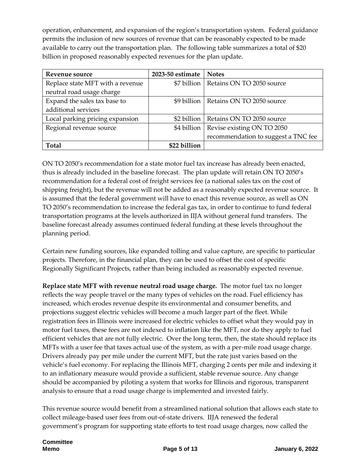operation, enhancement, and expansion of the region's transportation system. Federal guidance permits the inclusion of new sources of revenue that can be reasonably expected to be made available to carry out the transportation plan. The following table summarizes a total of \$20 billion in proposed reasonably expected revenues for the plan update.

| Revenue source                   | 2023-50 estimate | <b>Notes</b>                        |
|----------------------------------|------------------|-------------------------------------|
| Replace state MFT with a revenue | \$7 billion      | Retains ON TO 2050 source           |
| neutral road usage charge        |                  |                                     |
| Expand the sales tax base to     | \$9 billion      | Retains ON TO 2050 source           |
| additional services              |                  |                                     |
| Local parking pricing expansion  | \$2 billion      | Retains ON TO 2050 source           |
| Regional revenue source          | \$4 billion      | Revise existing ON TO 2050          |
|                                  |                  | recommendation to suggest a TNC fee |
| Total                            | \$22 billion     |                                     |

ON TO 2050's recommendation for a state motor fuel tax increase has already been enacted, thus is already included in the baseline forecast. The plan update will retain ON TO 2050's recommendation for a federal cost of freight services fee (a national sales tax on the cost of shipping freight), but the revenue will not be added as a reasonably expected revenue source. It is assumed that the federal government will have to enact this revenue source, as well as ON TO 2050's recommendation to increase the federal gas tax, in order to continue to fund federal transportation programs at the levels authorized in IIJA without general fund transfers. The baseline forecast already assumes continued federal funding at these levels throughout the planning period.

Certain new funding sources, like expanded tolling and value capture, are specific to particular projects. Therefore, in the financial plan, they can be used to offset the cost of specific Regionally Significant Projects, rather than being included as reasonably expected revenue.

**Replace state MFT with revenue neutral road usage charge.** The motor fuel tax no longer reflects the way people travel or the many types of vehicles on the road. Fuel efficiency has increased, which erodes revenue despite its environmental and consumer benefits, and projections suggest electric vehicles will become a much larger part of the fleet. While registration fees in Illinois were increased for electric vehicles to offset what they would pay in motor fuel taxes, these fees are not indexed to inflation like the MFT, nor do they apply to fuel efficient vehicles that are not fully electric. Over the long term, then, the state should replace its MFTs with a user fee that taxes actual use of the system, as with a per-mile road usage charge. Drivers already pay per mile under the current MFT, but the rate just varies based on the vehicle's fuel economy. For replacing the Illinois MFT, charging 2 cents per mile and indexing it to an inflationary measure would provide a sufficient, stable revenue source. Any change should be accompanied by piloting a system that works for Illinois and rigorous, transparent analysis to ensure that a road usage charge is implemented and invested fairly.

This revenue source would benefit from a streamlined national solution that allows each state to collect mileage-based user fees from out-of-state drivers. IIJA renewed the federal government's program for supporting state efforts to test road usage charges, now called the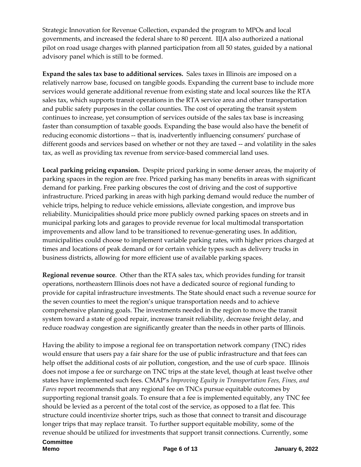Strategic Innovation for Revenue Collection, expanded the program to MPOs and local governments, and increased the federal share to 80 percent. IIJA also authorized a national pilot on road usage charges with planned participation from all 50 states, guided by a national advisory panel which is still to be formed.

**Expand the sales tax base to additional services.** Sales taxes in Illinois are imposed on a relatively narrow base, focused on tangible goods. Expanding the current base to include more services would generate additional revenue from existing state and local sources like the RTA sales tax, which supports transit operations in the RTA service area and other transportation and public safety purposes in the collar counties. The cost of operating the transit system continues to increase, yet consumption of services outside of the sales tax base is increasing faster than consumption of taxable goods. Expanding the base would also have the benefit of reducing economic distortions -- that is, inadvertently influencing consumers' purchase of different goods and services based on whether or not they are taxed -- and volatility in the sales tax, as well as providing tax revenue from service-based commercial land uses.

**Local parking pricing expansion.** Despite priced parking in some denser areas, the majority of parking spaces in the region are free. Priced parking has many benefits in areas with significant demand for parking. Free parking obscures the cost of driving and the cost of supportive infrastructure. Priced parking in areas with high parking demand would reduce the number of vehicle trips, helping to reduce vehicle emissions, alleviate congestion, and improve bus reliability. Municipalities should price more publicly owned parking spaces on streets and in municipal parking lots and garages to provide revenue for local multimodal transportation improvements and allow land to be transitioned to revenue-generating uses. In addition, municipalities could choose to implement variable parking rates, with higher prices charged at times and locations of peak demand or for certain vehicle types such as delivery trucks in business districts, allowing for more efficient use of available parking spaces.

**Regional revenue source**. Other than the RTA sales tax, which provides funding for transit operations, northeastern Illinois does not have a dedicated source of regional funding to provide for capital infrastructure investments. The State should enact such a revenue source for the seven counties to meet the region's unique transportation needs and to achieve comprehensive planning goals. The investments needed in the region to move the transit system toward a state of good repair, increase transit reliability, decrease freight delay, and reduce roadway congestion are significantly greater than the needs in other parts of Illinois.

Having the ability to impose a regional fee on transportation network company (TNC) rides would ensure that users pay a fair share for the use of public infrastructure and that fees can help offset the additional costs of air pollution, congestion, and the use of curb space. Illinois does not impose a fee or surcharge on TNC trips at the state level, though at least twelve other states have implemented such fees. CMAP's *Improving Equity in Transportation Fees, Fines, and Fares* report recommends that any regional fee on TNCs pursue equitable outcomes by supporting regional transit goals. To ensure that a fee is implemented equitably, any TNC fee should be levied as a percent of the total cost of the service, as opposed to a flat fee. This structure could incentivize shorter trips, such as those that connect to transit and discourage longer trips that may replace transit. To further support equitable mobility, some of the revenue should be utilized for investments that support transit connections. Currently, some

## **Committee**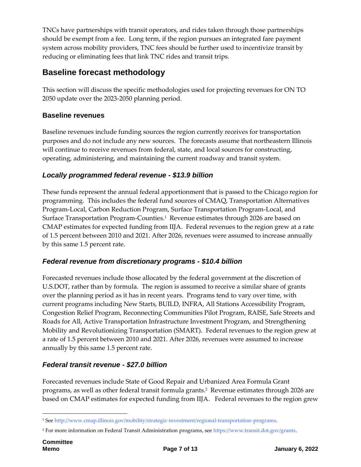TNCs have partnerships with transit operators, and rides taken through those partnerships should be exempt from a fee. Long term, if the region pursues an integrated fare payment system across mobility providers, TNC fees should be further used to incentivize transit by reducing or eliminating fees that link TNC rides and transit trips.

## **Baseline forecast methodology**

This section will discuss the specific methodologies used for projecting revenues for ON TO 2050 update over the 2023-2050 planning period.

#### **Baseline revenues**

Baseline revenues include funding sources the region currently receives for transportation purposes and do not include any new sources. The forecasts assume that northeastern Illinois will continue to receive revenues from federal, state, and local sources for constructing, operating, administering, and maintaining the current roadway and transit system.

#### *Locally programmed federal revenue - \$13.9 billion*

These funds represent the annual federal apportionment that is passed to the Chicago region for programming. This includes the federal fund sources of CMAQ, Transportation Alternatives Program-Local, Carbon Reduction Program, Surface Transportation Program-Local, and Surface Transportation Program-Counties.<sup>1</sup> Revenue estimates through 2026 are based on CMAP estimates for expected funding from IIJA. Federal revenues to the region grew at a rate of 1.5 percent between 2010 and 2021. After 2026, revenues were assumed to increase annually by this same 1.5 percent rate.

#### *Federal revenue from discretionary programs - \$10.4 billion*

Forecasted revenues include those allocated by the federal government at the discretion of U.S.DOT, rather than by formula. The region is assumed to receive a similar share of grants over the planning period as it has in recent years. Programs tend to vary over time, with current programs including New Starts, BUILD, INFRA, All Stations Accessibility Program, Congestion Relief Program, Reconnecting Communities Pilot Program, RAISE, Safe Streets and Roads for All, Active Transportation Infrastructure Investment Program, and Strengthening Mobility and Revolutionizing Transportation (SMART). Federal revenues to the region grew at a rate of 1.5 percent between 2010 and 2021. After 2026, revenues were assumed to increase annually by this same 1.5 percent rate.

#### *Federal transit revenue - \$27.0 billion*

Forecasted revenues include State of Good Repair and Urbanized Area Formula Grant programs, as well as other federal transit formula grants.<sup>2</sup> Revenue estimates through 2026 are based on CMAP estimates for expected funding from IIJA. Federal revenues to the region grew

1

<sup>1</sup> Se[e http://www.cmap.illinois.gov/mobility/strategic-investment/regional-transportation-programs.](http://www.cmap.illinois.gov/mobility/strategic-investment/regional-transportation-programs)

<sup>2</sup> For more information on Federal Transit Administration programs, see [https://www.transit.dot.gov/grants.](https://www.transit.dot.gov/grants)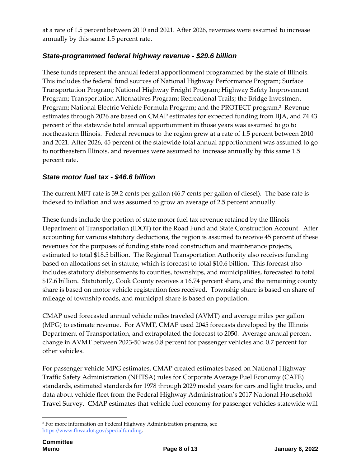at a rate of 1.5 percent between 2010 and 2021. After 2026, revenues were assumed to increase annually by this same 1.5 percent rate.

#### *State-programmed federal highway revenue - \$29.6 billion*

These funds represent the annual federal apportionment programmed by the state of Illinois. This includes the federal fund sources of National Highway Performance Program; Surface Transportation Program; National Highway Freight Program; Highway Safety Improvement Program; Transportation Alternatives Program; Recreational Trails; the Bridge Investment Program; National Electric Vehicle Formula Program; and the PROTECT program. 3 Revenue estimates through 2026 are based on CMAP estimates for expected funding from IIJA, and 74.43 percent of the statewide total annual apportionment in those years was assumed to go to northeastern Illinois. Federal revenues to the region grew at a rate of 1.5 percent between 2010 and 2021. After 2026, 45 percent of the statewide total annual apportionment was assumed to go to northeastern Illinois, and revenues were assumed to increase annually by this same 1.5 percent rate.

#### *State motor fuel tax - \$46.6 billion*

The current MFT rate is 39.2 cents per gallon (46.7 cents per gallon of diesel). The base rate is indexed to inflation and was assumed to grow an average of 2.5 percent annually.

These funds include the portion of state motor fuel tax revenue retained by the Illinois Department of Transportation (IDOT) for the Road Fund and State Construction Account. After accounting for various statutory deductions, the region is assumed to receive 45 percent of these revenues for the purposes of funding state road construction and maintenance projects, estimated to total \$18.5 billion. The Regional Transportation Authority also receives funding based on allocations set in statute, which is forecast to total \$10.6 billion. This forecast also includes statutory disbursements to counties, townships, and municipalities, forecasted to total \$17.6 billion. Statutorily, Cook County receives a 16.74 percent share, and the remaining county share is based on motor vehicle registration fees received. Township share is based on share of mileage of township roads, and municipal share is based on population.

CMAP used forecasted annual vehicle miles traveled (AVMT) and average miles per gallon (MPG) to estimate revenue. For AVMT, CMAP used 2045 forecasts developed by the Illinois Department of Transportation, and extrapolated the forecast to 2050. Average annual percent change in AVMT between 2023-50 was 0.8 percent for passenger vehicles and 0.7 percent for other vehicles.

For passenger vehicle MPG estimates, CMAP created estimates based on National Highway Traffic Safety Administration (NHTSA) rules for Corporate Average Fuel Economy (CAFE) standards, estimated standards for 1978 through 2029 model years for cars and light trucks, and data about vehicle fleet from the Federal Highway Administration's 2017 National Household Travel Survey. CMAP estimates that vehicle fuel economy for passenger vehicles statewide will

1

<sup>&</sup>lt;sup>3</sup> For more information on Federal Highway Administration programs, see [https://www.fhwa.dot.gov/specialfunding.](https://www.fhwa.dot.gov/specialfunding)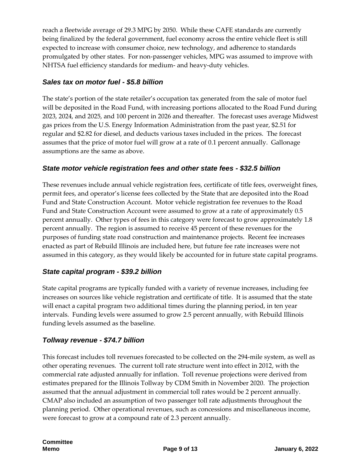reach a fleetwide average of 29.3 MPG by 2050. While these CAFE standards are currently being finalized by the federal government, fuel economy across the entire vehicle fleet is still expected to increase with consumer choice, new technology, and adherence to standards promulgated by other states. For non-passenger vehicles, MPG was assumed to improve with NHTSA fuel efficiency standards for medium- and heavy-duty vehicles.

#### *Sales tax on motor fuel - \$5.8 billion*

The state's portion of the state retailer's occupation tax generated from the sale of motor fuel will be deposited in the Road Fund, with increasing portions allocated to the Road Fund during 2023, 2024, and 2025, and 100 percent in 2026 and thereafter. The forecast uses average Midwest gas prices from the U.S. Energy Information Administration from the past year, \$2.51 for regular and \$2.82 for diesel, and deducts various taxes included in the prices. The forecast assumes that the price of motor fuel will grow at a rate of 0.1 percent annually. Gallonage assumptions are the same as above.

#### *State motor vehicle registration fees and other state fees - \$32.5 billion*

These revenues include annual vehicle registration fees, certificate of title fees, overweight fines, permit fees, and operator's license fees collected by the State that are deposited into the Road Fund and State Construction Account. Motor vehicle registration fee revenues to the Road Fund and State Construction Account were assumed to grow at a rate of approximately 0.5 percent annually. Other types of fees in this category were forecast to grow approximately 1.8 percent annually. The region is assumed to receive 45 percent of these revenues for the purposes of funding state road construction and maintenance projects. Recent fee increases enacted as part of Rebuild Illinois are included here, but future fee rate increases were not assumed in this category, as they would likely be accounted for in future state capital programs.

#### *State capital program - \$39.2 billion*

State capital programs are typically funded with a variety of revenue increases, including fee increases on sources like vehicle registration and certificate of title. It is assumed that the state will enact a capital program two additional times during the planning period, in ten year intervals. Funding levels were assumed to grow 2.5 percent annually, with Rebuild Illinois funding levels assumed as the baseline.

#### *Tollway revenue - \$74.7 billion*

This forecast includes toll revenues forecasted to be collected on the 294-mile system, as well as other operating revenues. The current toll rate structure went into effect in 2012, with the commercial rate adjusted annually for inflation. Toll revenue projections were derived from estimates prepared for the Illinois Tollway by CDM Smith in November 2020. The projection assumed that the annual adjustment in commercial toll rates would be 2 percent annually. CMAP also included an assumption of two passenger toll rate adjustments throughout the planning period. Other operational revenues, such as concessions and miscellaneous income, were forecast to grow at a compound rate of 2.3 percent annually.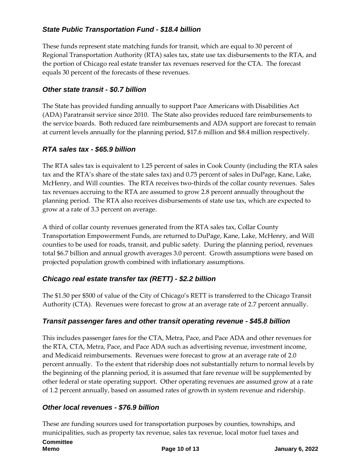#### *State Public Transportation Fund - \$18.4 billion*

These funds represent state matching funds for transit, which are equal to 30 percent of Regional Transportation Authority (RTA) sales tax, state use tax disbursements to the RTA, and the portion of Chicago real estate transfer tax revenues reserved for the CTA. The forecast equals 30 percent of the forecasts of these revenues.

#### *Other state transit - \$0.7 billion*

The State has provided funding annually to support Pace Americans with Disabilities Act (ADA) Paratransit service since 2010. The State also provides reduced fare reimbursements to the service boards. Both reduced fare reimbursements and ADA support are forecast to remain at current levels annually for the planning period, \$17.6 million and \$8.4 million respectively.

#### *RTA sales tax - \$65.9 billion*

The RTA sales tax is equivalent to 1.25 percent of sales in Cook County (including the RTA sales tax and the RTA's share of the state sales tax) and 0.75 percent of sales in DuPage, Kane, Lake, McHenry, and Will counties. The RTA receives two-thirds of the collar county revenues. Sales tax revenues accruing to the RTA are assumed to grow 2.8 percent annually throughout the planning period. The RTA also receives disbursements of state use tax, which are expected to grow at a rate of 3.3 percent on average.

A third of collar county revenues generated from the RTA sales tax, Collar County Transportation Empowerment Funds, are returned to DuPage, Kane, Lake, McHenry, and Will counties to be used for roads, transit, and public safety. During the planning period, revenues total \$6.7 billion and annual growth averages 3.0 percent. Growth assumptions were based on projected population growth combined with inflationary assumptions.

#### *Chicago real estate transfer tax (RETT) - \$2.2 billion*

The \$1.50 per \$500 of value of the City of Chicago's RETT is transferred to the Chicago Transit Authority (CTA). Revenues were forecast to grow at an average rate of 2.7 percent annually.

#### *Transit passenger fares and other transit operating revenue - \$45.8 billion*

This includes passenger fares for the CTA, Metra, Pace, and Pace ADA and other revenues for the RTA, CTA, Metra, Pace, and Pace ADA such as advertising revenue, investment income, and Medicaid reimbursements. Revenues were forecast to grow at an average rate of 2.0 percent annually. To the extent that ridership does not substantially return to normal levels by the beginning of the planning period, it is assumed that fare revenue will be supplemented by other federal or state operating support. Other operating revenues are assumed grow at a rate of 1.2 percent annually, based on assumed rates of growth in system revenue and ridership.

#### *Other local revenues - \$76.9 billion*

These are funding sources used for transportation purposes by counties, townships, and municipalities, such as property tax revenue, sales tax revenue, local motor fuel taxes and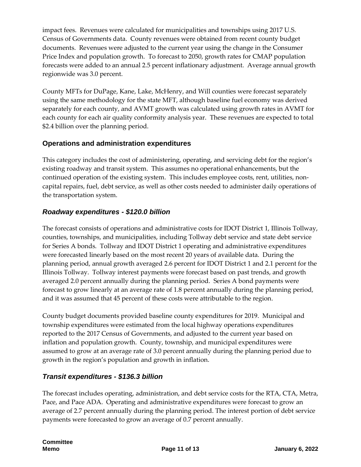impact fees. Revenues were calculated for municipalities and townships using 2017 U.S. Census of Governments data. County revenues were obtained from recent county budget documents. Revenues were adjusted to the current year using the change in the Consumer Price Index and population growth. To forecast to 2050, growth rates for CMAP population forecasts were added to an annual 2.5 percent inflationary adjustment. Average annual growth regionwide was 3.0 percent.

County MFTs for DuPage, Kane, Lake, McHenry, and Will counties were forecast separately using the same methodology for the state MFT, although baseline fuel economy was derived separately for each county, and AVMT growth was calculated using growth rates in AVMT for each county for each air quality conformity analysis year. These revenues are expected to total \$2.4 billion over the planning period.

#### **Operations and administration expenditures**

This category includes the cost of administering, operating, and servicing debt for the region's existing roadway and transit system. This assumes no operational enhancements, but the continued operation of the existing system. This includes employee costs, rent, utilities, noncapital repairs, fuel, debt service, as well as other costs needed to administer daily operations of the transportation system.

#### *Roadway expenditures - \$120.0 billion*

The forecast consists of operations and administrative costs for IDOT District 1, Illinois Tollway, counties, townships, and municipalities, including Tollway debt service and state debt service for Series A bonds. Tollway and IDOT District 1 operating and administrative expenditures were forecasted linearly based on the most recent 20 years of available data. During the planning period, annual growth averaged 2.6 percent for IDOT District 1 and 2.1 percent for the Illinois Tollway. Tollway interest payments were forecast based on past trends, and growth averaged 2.0 percent annually during the planning period. Series A bond payments were forecast to grow linearly at an average rate of 1.8 percent annually during the planning period, and it was assumed that 45 percent of these costs were attributable to the region.

County budget documents provided baseline county expenditures for 2019. Municipal and township expenditures were estimated from the local highway operations expenditures reported to the 2017 Census of Governments, and adjusted to the current year based on inflation and population growth. County, township, and municipal expenditures were assumed to grow at an average rate of 3.0 percent annually during the planning period due to growth in the region's population and growth in inflation.

#### *Transit expenditures - \$136.3 billion*

The forecast includes operating, administration, and debt service costs for the RTA, CTA, Metra, Pace, and Pace ADA. Operating and administrative expenditures were forecast to grow an average of 2.7 percent annually during the planning period. The interest portion of debt service payments were forecasted to grow an average of 0.7 percent annually.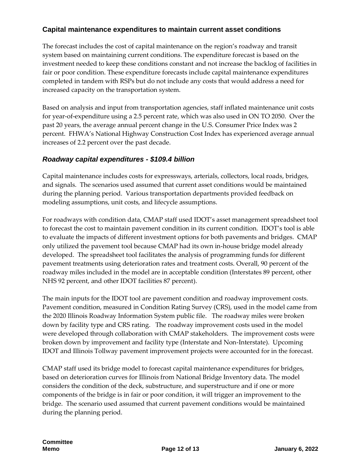#### **Capital maintenance expenditures to maintain current asset conditions**

The forecast includes the cost of capital maintenance on the region's roadway and transit system based on maintaining current conditions. The expenditure forecast is based on the investment needed to keep these conditions constant and not increase the backlog of facilities in fair or poor condition. These expenditure forecasts include capital maintenance expenditures completed in tandem with RSPs but do not include any costs that would address a need for increased capacity on the transportation system.

Based on analysis and input from transportation agencies, staff inflated maintenance unit costs for year-of-expenditure using a 2.5 percent rate, which was also used in ON TO 2050. Over the past 20 years, the average annual percent change in the U.S. Consumer Price Index was 2 percent. FHWA's National Highway Construction Cost Index has experienced average annual increases of 2.2 percent over the past decade.

#### *Roadway capital expenditures - \$109.4 billion*

Capital maintenance includes costs for expressways, arterials, collectors, local roads, bridges, and signals. The scenarios used assumed that current asset conditions would be maintained during the planning period. Various transportation departments provided feedback on modeling assumptions, unit costs, and lifecycle assumptions.

For roadways with condition data, CMAP staff used IDOT's asset management spreadsheet tool to forecast the cost to maintain pavement condition in its current condition. IDOT's tool is able to evaluate the impacts of different investment options for both pavements and bridges. CMAP only utilized the pavement tool because CMAP had its own in-house bridge model already developed. The spreadsheet tool facilitates the analysis of programming funds for different pavement treatments using deterioration rates and treatment costs. Overall, 90 percent of the roadway miles included in the model are in acceptable condition (Interstates 89 percent, other NHS 92 percent, and other IDOT facilities 87 percent).

The main inputs for the IDOT tool are pavement condition and roadway improvement costs. Pavement condition, measured in Condition Rating Survey (CRS), used in the model came from the 2020 Illinois Roadway Information System public file. The roadway miles were broken down by facility type and CRS rating. The roadway improvement costs used in the model were developed through collaboration with CMAP stakeholders. The improvement costs were broken down by improvement and facility type (Interstate and Non-Interstate). Upcoming IDOT and Illinois Tollway pavement improvement projects were accounted for in the forecast.

CMAP staff used its bridge model to forecast capital maintenance expenditures for bridges, based on deterioration curves for Illinois from National Bridge Inventory data. The model considers the condition of the deck, substructure, and superstructure and if one or more components of the bridge is in fair or poor condition, it will trigger an improvement to the bridge. The scenario used assumed that current pavement conditions would be maintained during the planning period.